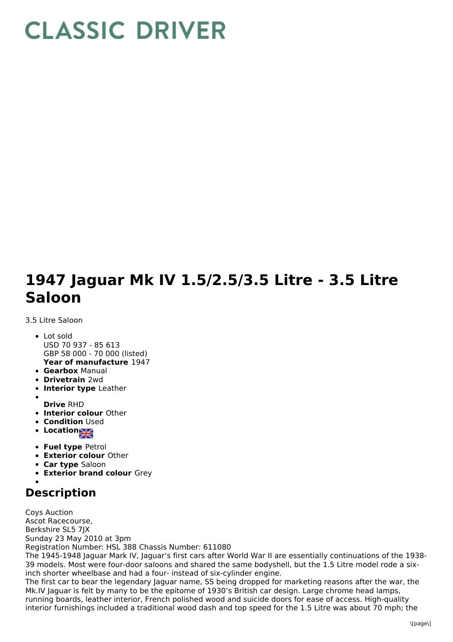## **CLASSIC DRIVER**

## **1947 Jaguar Mk IV 1.5/2.5/3.5 Litre - 3.5 Litre Saloon**

3.5 Litre Saloon

- **Year of manufacture** 1947 Lot sold USD 70 937 - 85 613 GBP 58 000 - 70 000 (listed)
- **Gearbox** Manual
- **Drivetrain** 2wd
- **Interior type** Leather
- **Drive** RHD
- **Interior colour** Other
- **Condition Used**
- Location
- **Fuel type** Petrol
- **Exterior colour** Other
- **Car type** Saloon
- **Exterior brand colour** Grey

## **Description**

Coys Auction Ascot Racecourse, Berkshire SL5 7JX Sunday 23 May 2010 at 3pm Registration Number: HSL 388 Chassis Number: 611080 The 1945-1948 Jaguar Mark IV, Jaguar's first cars after World War II are essentially continuations of the 1938- 39 models. Most were four-door saloons and shared the same bodyshell, but the 1.5 Litre model rode a sixinch shorter wheelbase and had a four- instead of six-cylinder engine. The first car to bear the legendary Jaguar name, SS being dropped for marketing reasons after the war, the

Mk.IV Jaguar is felt by many to be the epitome of 1930's British car design. Large chrome head lamps, running boards, leather interior, French polished wood and suicide doors for ease of access. High-quality interior furnishings included a traditional wood dash and top speed for the 1.5 Litre was about 70 mph; the